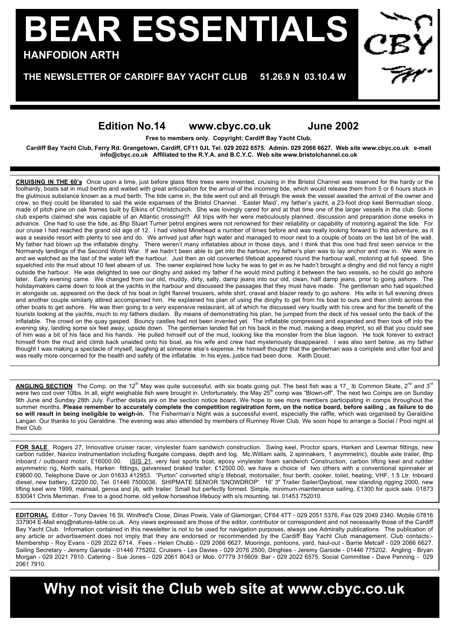## **BEAR ESSENTIALS HANFODION ARTH**

**THE NEWSLETTER OF CARDIFF BAY YACHT CLUB 51.26.9 N 03.10.4 W**

## **Edition No.14 www.cbyc.co.uk June 2002**

**Free to members only. Copyright: Cardiff Bay Yacht Club.**

**Cardiff Bay Yacht Club, Ferry Rd. Grangetown, Cardiff, CF11 0JL Tel. 029 2022 6575. Admin. 029 2066 6627. Web site www.cbyc.co.uk e-mail info@cbyc.co.uk Affiliated to the R.Y.A. and B.C.Y.C. Web site www.bristolchannel.co.uk**

FOR SALE: SHIPMATE SENIOR 'SNOWDROP'. 16' 3" Trailer Sailer/Dayboat. crew, so they could be liberated to sail the wide expanses of the Bristol Channel. 'Easter Maid', my father's yacht, a 23-foot drop keel Bermudian sloop, new, so may seen be moraled to can mormed expanses of the Briefs enamier. Easier male, my rame of yearn, a Boset are her consenting risery, made of pitch pine on oak frames built by Elkins of Christchurch. She was lovingly ndab of phon pins on sake hanned sum by Emmo of emmotivation. Since the masket with and at that three one of the larger vecestor in the class centre.<br>Club experts claimed she was capable of an Atlantic crossing!!! All trip advance. One had to use the tide, as 8hp Stuart Turner petrol engines were not renowned for their reliability or capability of motoring against the tide. For Merriman our cruise I had reached the grand old age of 12. I had visited Minehead a number of times before and was really looking forward to this adventure, as it **CRUISING IN THE 60's** Once upon a time, just before glass fibre trees were invented, cruising in the Bristol Channel was reserved for the hardy or the foolhardy, boats sat in mud berths and waited with great anticipation for the arrival of the incoming tide, which would release them from 5 or 6 hours stuck in the glutinous substance known as a mud berth. The tide came in, the tide went out and all through the week the vessel awaited the arrival of the owner and was a seaside resort with plenty to see and do. We arrived just after high water and managed to moor next to a couple of boats on the last bit of the wall. My father had blown up the inflatable dinghy. There weren't many inflatables about in those days, and I think that this one had first seen service in the Normandy landings of the Second World War. If we hadn't been able to get into the harbour, my father's plan was to lay anchor and row in. We were in and we watched as the last of the water left the harbour. Just then an old converted lifeboat appeared round the harbour wall, motoring at full speed. She squelched into the mud about 10 feet abeam of us. The owner explained how lucky he was to get in as he hadn't brought a dinghy and did not fancy a night outside the harbour. He was delighted to see our dinghy and asked my father if he would mind putting it between the two vessels, so he could go ashore later. Early evening came. We changed from our old, muddy, dirty, salty, damp jeans into our old, clean, half damp jeans, prior to going ashore. The holidaymakers came down to look at the yachts in the harbour and discussed the passages that they must have made. The gentleman who had squelched in alongside us, appeared on the deck of his boat in light flannel trousers, white shirt, cravat and blazer ready to go ashore. His wife in full evening dress and another couple similarly attired accompanied him. He explained his plan of using the dinghy to get from his boat to ours and then climb across the other boats to get ashore. He was then going to a very expensive restaurant, all of which he discussed very loudly with his crew and for the benefit of the tourists looking at the yachts, much to my fathers disdain. By means of demonstrating his plan, he jumped from the deck of his vessel onto the back of the inflatable. The crowd on the quay gasped. Bouncy castles had not been invented yet. The inflatable compressed and expanded and then took off into the evening sky, landing some six feet away, upside down. The gentleman landed flat on his back in the mud, making a deep imprint, so all that you could see of him was a bit of his face and his hands. He pulled himself out of the mud, looking like the monster from the blue lagoon. He took forever to extract himself from the mud and climb back unaided onto his boat, as his wife and crew had mysteriously disappeared. I was also sent below, as my father thought I was making a spectacle of myself, laughing at someone else's expense. He himself thought that the gentleman was a complete and utter fool and was really more concerned for the health and safety of the inflatable. In his eyes, justice had been done. Keith Doust.

**ANGLING SECTION** The Comp. on the 12<sup>th</sup> May was quite successful, with six boats going out. The best fish was a 17 lb Common Skate, 2<sup>nd</sup> and 3<sup>rd</sup> were two cod over 10lbs. In all, eight weighable fish were brought in. Unfortunately, the May 25<sup>th</sup> comp was "Blown-off". The next two Comps are on Sunday 9th June and Sunday 28th July. Further details are on the section notice board. We hope to see more members participating in comps throughout the summer months. **Please remember to accurately complete the competition registration form, on the notice board, before sailing , as failure to do so will result in being ineligible to weigh-in.** The Fisherman's Night was a successful event, especially the raffle, which was organised by Geraldine Langan. Our thanks to you Geraldine. The evening was also attended by members of Rumney River Club. We soon hope to arrange a Social / Pool night at their Club.

**FOR SALE** Rogers 27, Innovative cruiser racer, vinylester foam sandwich construction. Swing keel, Proctor spars, Harken and Lewmar fittings, new carbon rudder, Navico instrumentation including fluxgate compass, depth and log. Mc.William sails, 2 spinnakers, 1 asymmetric), double axle trailer, 8hp inboard / outboard motor, £16000.00. ISIS 21, very fast sports boat, epoxy vinylester foam sandwich Construction, carbon lifting keel and rudder asymmetric rig, North sails, Harken fittings, galvanised braked trailer, £12500.00, we have a choice of two others with a conventional spinnaker at £9600.00, Telephone Dave or Jon 01633 412953. "Purton" converted ship's lifeboat, motorsailer, four berth, cooker, toilet, heating, VHF, 1.5 Ltr. Inboard diesel, new battery, £2200.00, Tel. 01446 7500036. SHIPMATE SENIOR 'SNOWDROP'. 16' 3" Trailer Sailer/Dayboat, new standing rigging 2000, new lifting keel wire 1999, mainsail, genoa and jib, with trailer. Small but perfectly formed. Simple, minimum-maintenance sailing, £1300 for quick sale. 01873 830041 Chris Merriman. Free to a good home, old yellow horseshoe lifebuoy with s/s mounting. tel. 01453 752010.

**EDITORIAL** Editor - Tony Davies 16 St. Winifred's Close, Dinas Powis, Vale of Glamorgan, CF64 4TT - 029 2051 5376, Fax 029 2049 2340. Mobile 07816 337904 E-Mail enq@natures-table.co.uk. Any views expressed are those of the editor, contributor or correspondent and not necessarily those of the Cardiff Bay Yacht Club. Information contained in this newsletter is not to be used for navigation purposes, always use Admiralty publications. The publication of any article or advertisement does not imply that they are endorsed or recommended by the Cardiff Bay Yacht Club management. Club contacts:- Membership - Roy Evans - 029 2022 6714. Fees - Helen Chubb - 029 2066 6627. Moorings, pontoons, yard, haul-out - Barrie Metcalf - 029 2066 6627. Sailing Secretary - Jeremy Garside - 01446 775202. Cruisers - Les Davies - 029 2076 2500, Dinghies - Jeremy Garside - 01446 775202. Angling - Bryan Morgan - 029 2021 7910. Catering - Sue Jones - 029 2061 8043 or Mob. 07779 315609. Bar - 029 2022 6575. Social Committee - Dave Penning - 029 2061 7910.

**Why not visit the Club web site at www.cbyc.co.uk**